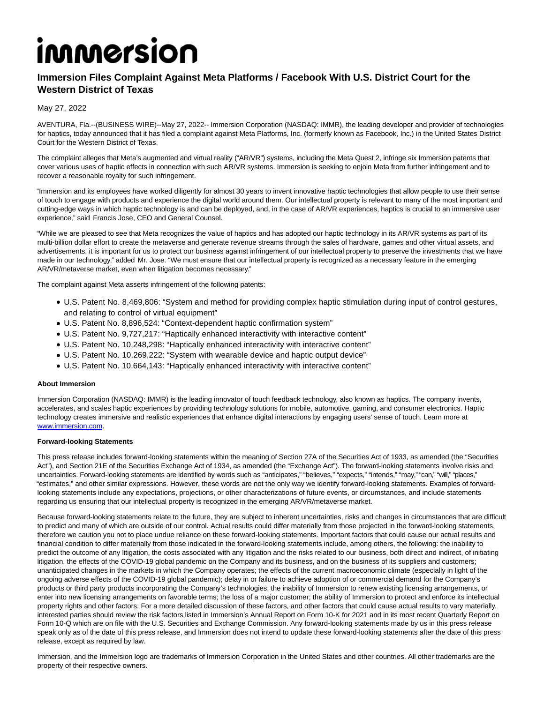# immersion

## **Immersion Files Complaint Against Meta Platforms / Facebook With U.S. District Court for the Western District of Texas**

## May 27, 2022

AVENTURA, Fla.--(BUSINESS WIRE)--May 27, 2022-- Immersion Corporation (NASDAQ: IMMR), the leading developer and provider of technologies for haptics, today announced that it has filed a complaint against Meta Platforms, Inc. (formerly known as Facebook, Inc.) in the United States District Court for the Western District of Texas.

The complaint alleges that Meta's augmented and virtual reality ("AR/VR") systems, including the Meta Quest 2, infringe six Immersion patents that cover various uses of haptic effects in connection with such AR/VR systems. Immersion is seeking to enjoin Meta from further infringement and to recover a reasonable royalty for such infringement.

"Immersion and its employees have worked diligently for almost 30 years to invent innovative haptic technologies that allow people to use their sense of touch to engage with products and experience the digital world around them. Our intellectual property is relevant to many of the most important and cutting-edge ways in which haptic technology is and can be deployed, and, in the case of AR/VR experiences, haptics is crucial to an immersive user experience," said Francis Jose, CEO and General Counsel.

"While we are pleased to see that Meta recognizes the value of haptics and has adopted our haptic technology in its AR/VR systems as part of its multi-billion dollar effort to create the metaverse and generate revenue streams through the sales of hardware, games and other virtual assets, and advertisements, it is important for us to protect our business against infringement of our intellectual property to preserve the investments that we have made in our technology," added Mr. Jose. "We must ensure that our intellectual property is recognized as a necessary feature in the emerging AR/VR/metaverse market, even when litigation becomes necessary."

The complaint against Meta asserts infringement of the following patents:

- U.S. Patent No. 8,469,806: "System and method for providing complex haptic stimulation during input of control gestures, and relating to control of virtual equipment"
- U.S. Patent No. 8,896,524: "Context-dependent haptic confirmation system"
- U.S. Patent No. 9,727,217: "Haptically enhanced interactivity with interactive content"
- U.S. Patent No. 10,248,298: "Haptically enhanced interactivity with interactive content"
- U.S. Patent No. 10,269,222: "System with wearable device and haptic output device"
- U.S. Patent No. 10,664,143: "Haptically enhanced interactivity with interactive content"

### **About Immersion**

Immersion Corporation (NASDAQ: IMMR) is the leading innovator of touch feedback technology, also known as haptics. The company invents, accelerates, and scales haptic experiences by providing technology solutions for mobile, automotive, gaming, and consumer electronics. Haptic technology creates immersive and realistic experiences that enhance digital interactions by engaging users' sense of touch. Learn more at [www.immersion.com.](https://cts.businesswire.com/ct/CT?id=smartlink&url=http%3A%2F%2Fwww.immersion.com&esheet=52732211&newsitemid=20220527005036&lan=en-US&anchor=www.immersion.com&index=1&md5=c3ebddc73c3d7ea40c304643758f5c2f)

### **Forward-looking Statements**

This press release includes forward-looking statements within the meaning of Section 27A of the Securities Act of 1933, as amended (the "Securities Act"), and Section 21E of the Securities Exchange Act of 1934, as amended (the "Exchange Act"). The forward-looking statements involve risks and uncertainties. Forward-looking statements are identified by words such as "anticipates," "believes," "expects," "intends," "may," "can," "will," "places," "estimates," and other similar expressions. However, these words are not the only way we identify forward-looking statements. Examples of forwardlooking statements include any expectations, projections, or other characterizations of future events, or circumstances, and include statements regarding us ensuring that our intellectual property is recognized in the emerging AR/VR/metaverse market.

Because forward-looking statements relate to the future, they are subject to inherent uncertainties, risks and changes in circumstances that are difficult to predict and many of which are outside of our control. Actual results could differ materially from those projected in the forward-looking statements, therefore we caution you not to place undue reliance on these forward-looking statements. Important factors that could cause our actual results and financial condition to differ materially from those indicated in the forward-looking statements include, among others, the following: the inability to predict the outcome of any litigation, the costs associated with any litigation and the risks related to our business, both direct and indirect, of initiating litigation, the effects of the COVID-19 global pandemic on the Company and its business, and on the business of its suppliers and customers; unanticipated changes in the markets in which the Company operates; the effects of the current macroeconomic climate (especially in light of the ongoing adverse effects of the COVID-19 global pandemic); delay in or failure to achieve adoption of or commercial demand for the Company's products or third party products incorporating the Company's technologies; the inability of Immersion to renew existing licensing arrangements, or enter into new licensing arrangements on favorable terms; the loss of a major customer; the ability of Immersion to protect and enforce its intellectual property rights and other factors. For a more detailed discussion of these factors, and other factors that could cause actual results to vary materially, interested parties should review the risk factors listed in Immersion's Annual Report on Form 10-K for 2021 and in its most recent Quarterly Report on Form 10-Q which are on file with the U.S. Securities and Exchange Commission. Any forward-looking statements made by us in this press release speak only as of the date of this press release, and Immersion does not intend to update these forward-looking statements after the date of this press release, except as required by law.

Immersion, and the Immersion logo are trademarks of Immersion Corporation in the United States and other countries. All other trademarks are the property of their respective owners.